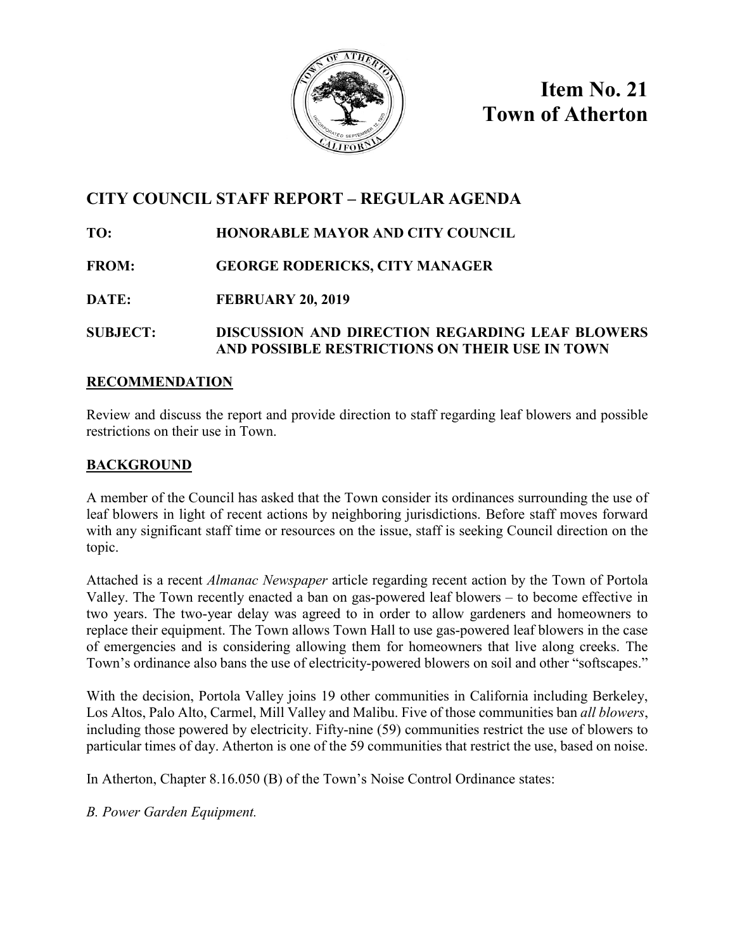

**Item No. 21 Town of Atherton**

### **CITY COUNCIL STAFF REPORT – REGULAR AGENDA**

#### **TO: HONORABLE MAYOR AND CITY COUNCIL**

#### **FROM: GEORGE RODERICKS, CITY MANAGER**

#### **DATE: FEBRUARY 20, 2019**

#### **SUBJECT: DISCUSSION AND DIRECTION REGARDING LEAF BLOWERS AND POSSIBLE RESTRICTIONS ON THEIR USE IN TOWN**

#### **RECOMMENDATION**

Review and discuss the report and provide direction to staff regarding leaf blowers and possible restrictions on their use in Town.

#### **BACKGROUND**

A member of the Council has asked that the Town consider its ordinances surrounding the use of leaf blowers in light of recent actions by neighboring jurisdictions. Before staff moves forward with any significant staff time or resources on the issue, staff is seeking Council direction on the topic.

Attached is a recent *Almanac Newspaper* article regarding recent action by the Town of Portola Valley. The Town recently enacted a ban on gas-powered leaf blowers – to become effective in two years. The two-year delay was agreed to in order to allow gardeners and homeowners to replace their equipment. The Town allows Town Hall to use gas-powered leaf blowers in the case of emergencies and is considering allowing them for homeowners that live along creeks. The Town's ordinance also bans the use of electricity-powered blowers on soil and other "softscapes."

With the decision, Portola Valley joins 19 other communities in California including Berkeley, Los Altos, Palo Alto, Carmel, Mill Valley and Malibu. Five of those communities ban *all blowers*, including those powered by electricity. Fifty-nine (59) communities restrict the use of blowers to particular times of day. Atherton is one of the 59 communities that restrict the use, based on noise.

In Atherton, Chapter 8.16.050 (B) of the Town's Noise Control Ordinance states:

*B. Power Garden Equipment.*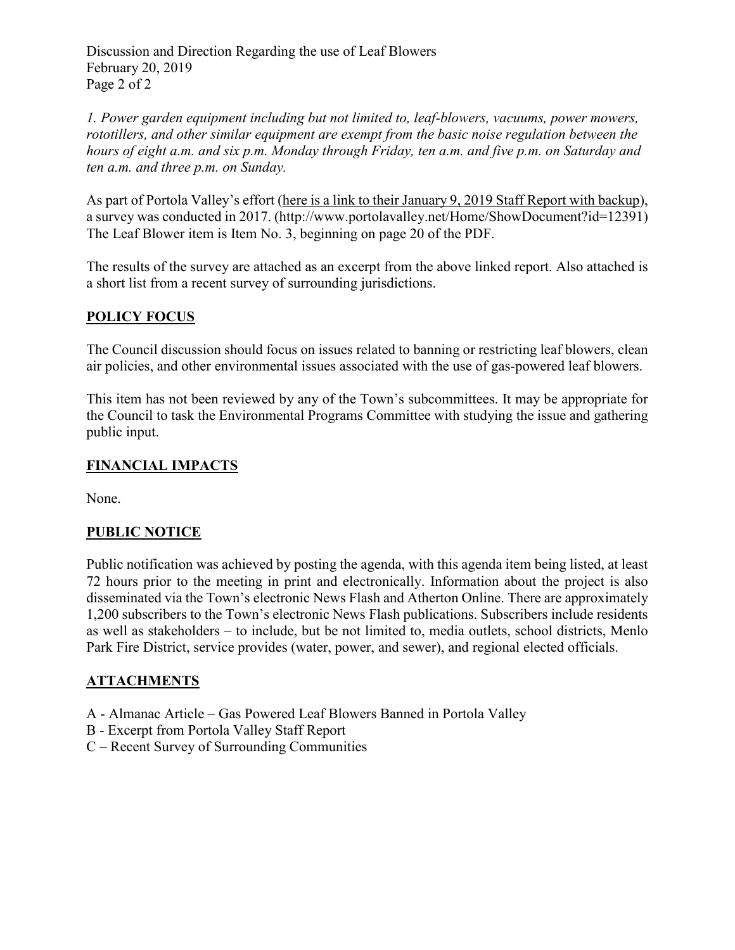Discussion and Direction Regarding the use of Leaf Blowers February 20, 2019 Page 2 of 2

*1. Power garden equipment including but not limited to, leaf-blowers, vacuums, power mowers, rototillers, and other similar equipment are exempt from the basic noise regulation between the hours of eight a.m. and six p.m. Monday through Friday, ten a.m. and five p.m. on Saturday and ten a.m. and three p.m. on Sunday.*

As part of Portola Valley's effort (here is a link to their [January](http://www.portolavalley.net/Home/ShowDocument?id=12391) 9, 2019 Staff Report with backup), a survey was conducted in 2017. (http://www.portolavalley.net/Home/ShowDocument?id=12391) The Leaf Blower item is Item No. 3, beginning on page 20 of the PDF.

The results of the survey are attached as an excerpt from the above linked report. Also attached is a short list from a recent survey of surrounding jurisdictions.

#### **POLICY FOCUS**

The Council discussion should focus on issues related to banning or restricting leaf blowers, clean air policies, and other environmental issues associated with the use of gas-powered leaf blowers.

This item has not been reviewed by any of the Town's subcommittees. It may be appropriate for the Council to task the Environmental Programs Committee with studying the issue and gathering public input.

#### **FINANCIAL IMPACTS**

None.

#### **PUBLIC NOTICE**

Public notification was achieved by posting the agenda, with this agenda item being listed, at least 72 hours prior to the meeting in print and electronically. Information about the project is also disseminated via the Town's electronic News Flash and Atherton Online. There are approximately 1,200 subscribers to the Town's electronic News Flash publications. Subscribers include residents as well as stakeholders – to include, but be not limited to, media outlets, school districts, Menlo Park Fire District, service provides (water, power, and sewer), and regional elected officials.

#### **ATTACHMENTS**

- A Almanac Article Gas Powered Leaf Blowers Banned in Portola Valley
- B Excerpt from Portola Valley Staff Report
- C Recent Survey of Surrounding Communities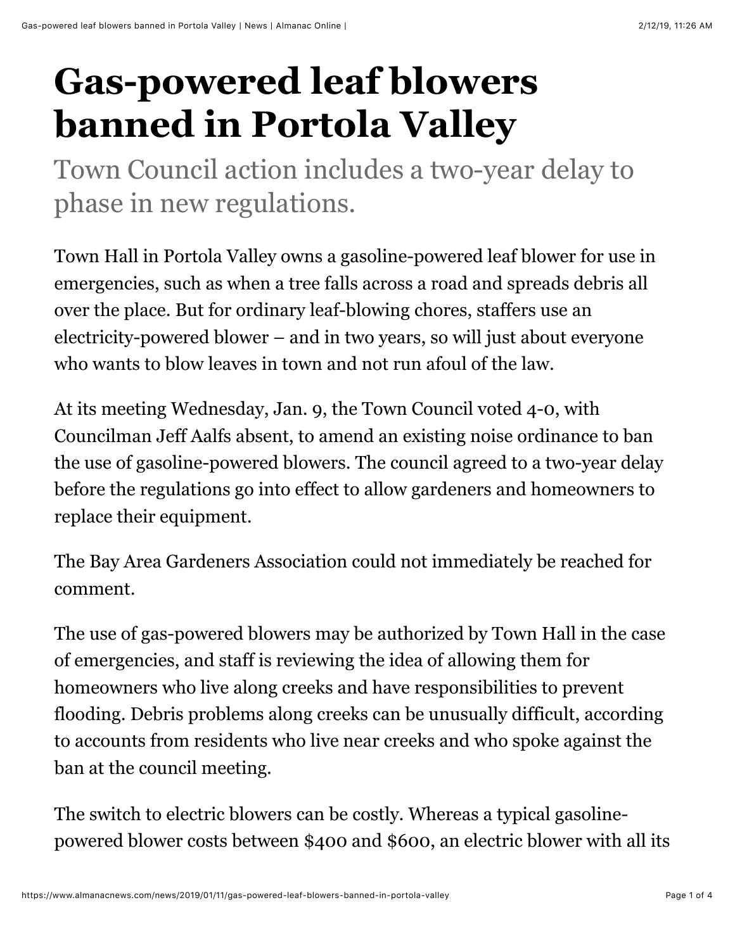# **Gas-powered leaf blowers banned in Portola Valley**

Town Council action includes a two-year delay to phase in new regulations.

Town Hall in Portola Valley owns a gasoline-powered leaf blower for use in emergencies, such as when a tree falls across a road and spreads debris all over the place. But for ordinary leaf-blowing chores, staffers use an electricity-powered blower – and in two years, so will just about everyone who wants to blow leaves in town and not run afoul of the law.

At its meeting Wednesday, Jan. 9, the Town Council voted 4-0, with Councilman Jeff Aalfs absent, to amend an existing noise ordinance to ban the use of gasoline-powered blowers. The council agreed to a two-year delay before the regulations go into effect to allow gardeners and homeowners to replace their equipment.

The Bay Area Gardeners Association could not immediately be reached for comment.

The use of gas-powered blowers may be authorized by Town Hall in the case of emergencies, and staff is reviewing the idea of allowing them for homeowners who live along creeks and have responsibilities to prevent flooding. Debris problems along creeks can be unusually difficult, according to accounts from residents who live near creeks and who spoke against the ban at the council meeting.

The switch to electric blowers can be costly. Whereas a typical gasolinepowered blower costs between \$400 and \$600, an electric blower with all its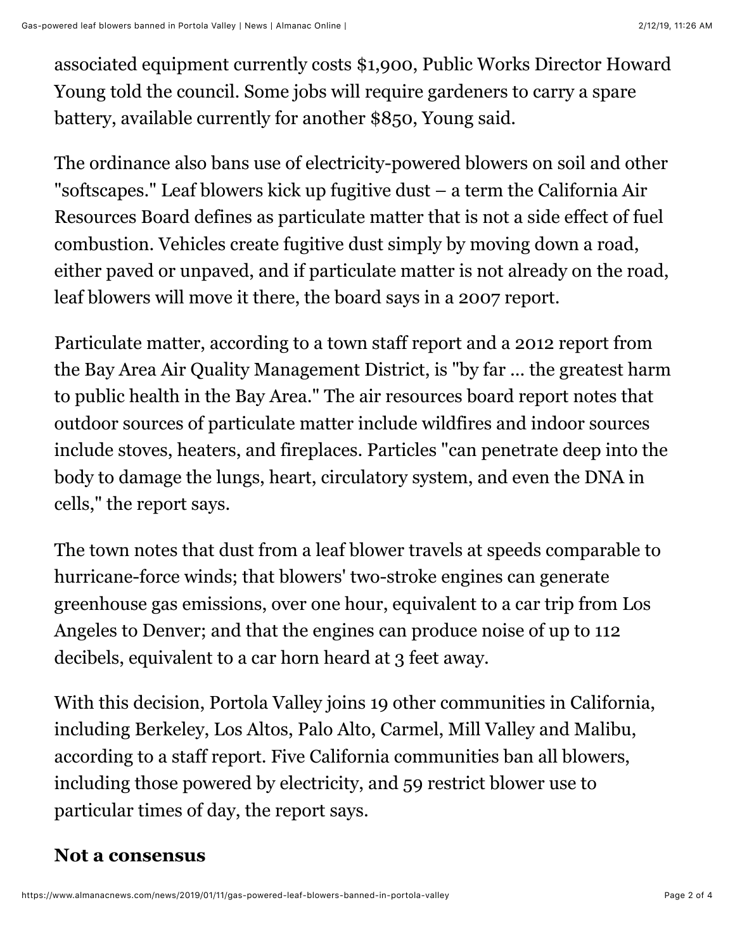associated equipment currently costs \$1,900, Public Works Director Howard Young told the council. Some jobs will require gardeners to carry a spare battery, available currently for another \$850, Young said.

The ordinance also bans use of electricity-powered blowers on soil and other "softscapes." Leaf blowers kick up fugitive dust – a term the California Air Resources Board defines as particulate matter that is not a side effect of fuel combustion. Vehicles create fugitive dust simply by moving down a road, either paved or unpaved, and if particulate matter is not already on the road, leaf blowers will move it there, the board says in a 2007 report.

Particulate matter, according to a town staff report and a 2012 report from the Bay Area Air Quality Management District, is "by far ... the greatest harm to public health in the Bay Area." The air resources board report notes that outdoor sources of particulate matter include wildfires and indoor sources include stoves, heaters, and fireplaces. Particles "can penetrate deep into the body to damage the lungs, heart, circulatory system, and even the DNA in cells," the report says.

The town notes that dust from a leaf blower travels at speeds comparable to hurricane-force winds; that blowers' two-stroke engines can generate greenhouse gas emissions, over one hour, equivalent to a car trip from Los Angeles to Denver; and that the engines can produce noise of up to 112 decibels, equivalent to a car horn heard at 3 feet away.

With this decision, Portola Valley joins 19 other communities in California, including Berkeley, Los Altos, Palo Alto, Carmel, Mill Valley and Malibu, according to a staff report. Five California communities ban all blowers, including those powered by electricity, and 59 restrict blower use to particular times of day, the report says.

## **Not a consensus**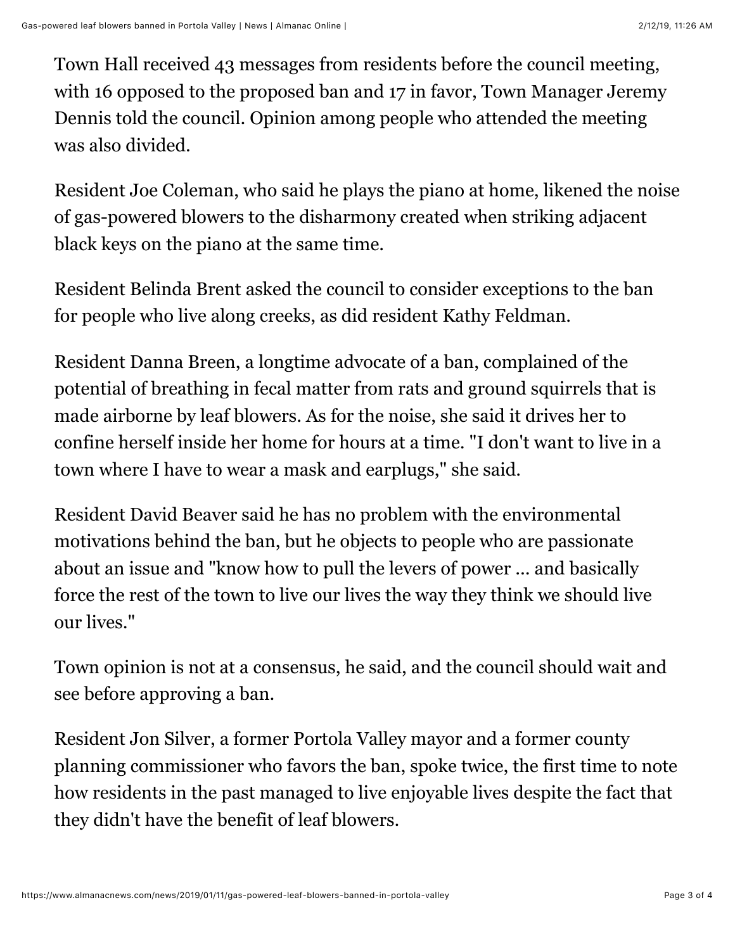Town Hall received 43 messages from residents before the council meeting, with 16 opposed to the proposed ban and 17 in favor, Town Manager Jeremy Dennis told the council. Opinion among people who attended the meeting was also divided.

Resident Joe Coleman, who said he plays the piano at home, likened the noise of gas-powered blowers to the disharmony created when striking adjacent black keys on the piano at the same time.

Resident Belinda Brent asked the council to consider exceptions to the ban for people who live along creeks, as did resident Kathy Feldman.

Resident Danna Breen, a longtime advocate of a ban, complained of the potential of breathing in fecal matter from rats and ground squirrels that is made airborne by leaf blowers. As for the noise, she said it drives her to confine herself inside her home for hours at a time. "I don't want to live in a town where I have to wear a mask and earplugs," she said.

Resident David Beaver said he has no problem with the environmental motivations behind the ban, but he objects to people who are passionate about an issue and "know how to pull the levers of power ... and basically force the rest of the town to live our lives the way they think we should live our lives."

Town opinion is not at a consensus, he said, and the council should wait and see before approving a ban.

Resident Jon Silver, a former Portola Valley mayor and a former county planning commissioner who favors the ban, spoke twice, the first time to note how residents in the past managed to live enjoyable lives despite the fact that they didn't have the benefit of leaf blowers.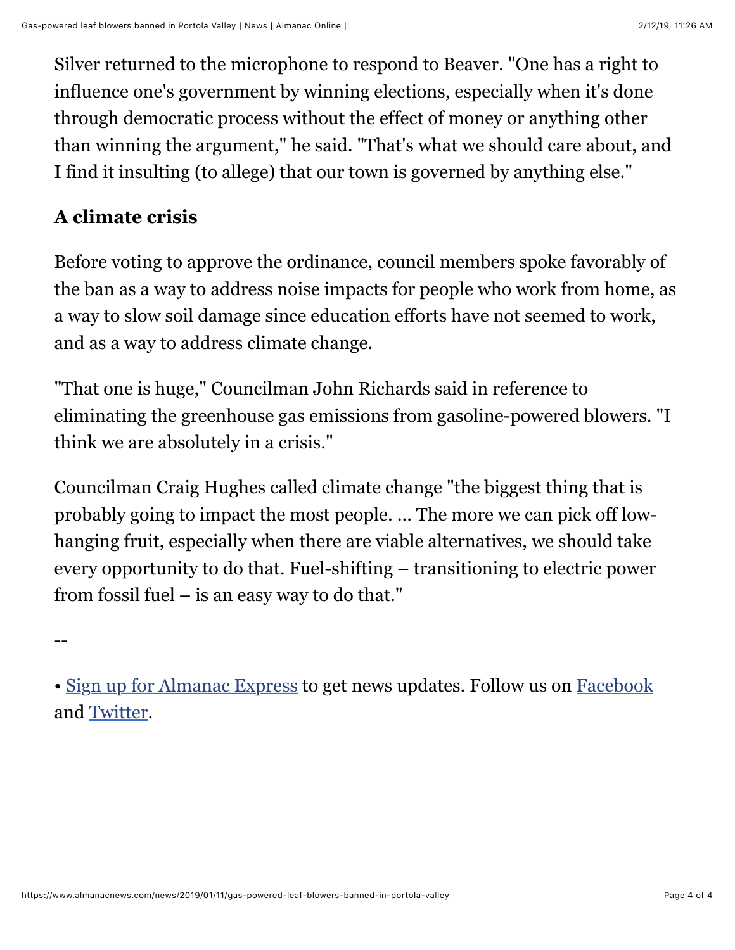Silver returned to the microphone to respond to Beaver. "One has a right to influence one's government by winning elections, especially when it's done through democratic process without the effect of money or anything other than winning the argument," he said. "That's what we should care about, and I find it insulting (to allege) that our town is governed by anything else."

# **A climate crisis**

Before voting to approve the ordinance, council members spoke favorably of the ban as a way to address noise impacts for people who work from home, as a way to slow soil damage since education efforts have not seemed to work, and as a way to address climate change.

"That one is huge," Councilman John Richards said in reference to eliminating the greenhouse gas emissions from gasoline-powered blowers. "I think we are absolutely in a crisis."

Councilman Craig Hughes called climate change "the biggest thing that is probably going to impact the most people. ... The more we can pick off lowhanging fruit, especially when there are viable alternatives, we should take every opportunity to do that. Fuel-shifting – transitioning to electric power from fossil fuel – is an easy way to do that."

--

• [Sign up for Almanac Express](http://almanacnews.com/express) to get news updates. Follow us on [Facebook](https://www.facebook.com/AlmanacNews) and [Twitter](https://twitter.com/AlmanacNews).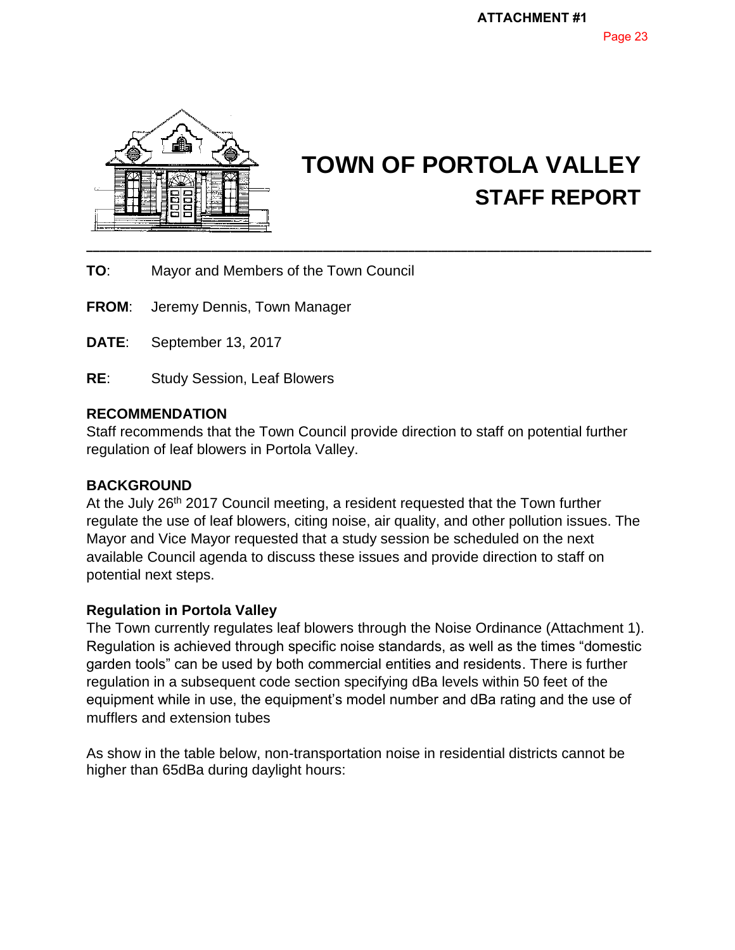

# **TOWN OF PORTOLA VALLEY STAFF REPORT**

**TOWN OF PORTOLA VALLEY**

**TO**: Mayor and Members of the Town Council

**FROM**: Jeremy Dennis, Town Manager

**DATE**: September 13, 2017

**RE**: Study Session, Leaf Blowers

#### **RECOMMENDATION**

Staff recommends that the Town Council provide direction to staff on potential further regulation of leaf blowers in Portola Valley.

#### **BACKGROUND**

At the July 26<sup>th</sup> 2017 Council meeting, a resident requested that the Town further regulate the use of leaf blowers, citing noise, air quality, and other pollution issues. The Mayor and Vice Mayor requested that a study session be scheduled on the next available Council agenda to discuss these issues and provide direction to staff on potential next steps.

#### **Regulation in Portola Valley**

The Town currently regulates leaf blowers through the Noise Ordinance (Attachment 1). Regulation is achieved through specific noise standards, as well as the times "domestic garden tools" can be used by both commercial entities and residents. There is further regulation in a subsequent code section specifying dBa levels within 50 feet of the equipment while in use, the equipment's model number and dBa rating and the use of mufflers and extension tubes

As show in the table below, non-transportation noise in residential districts cannot be higher than 65dBa during daylight hours: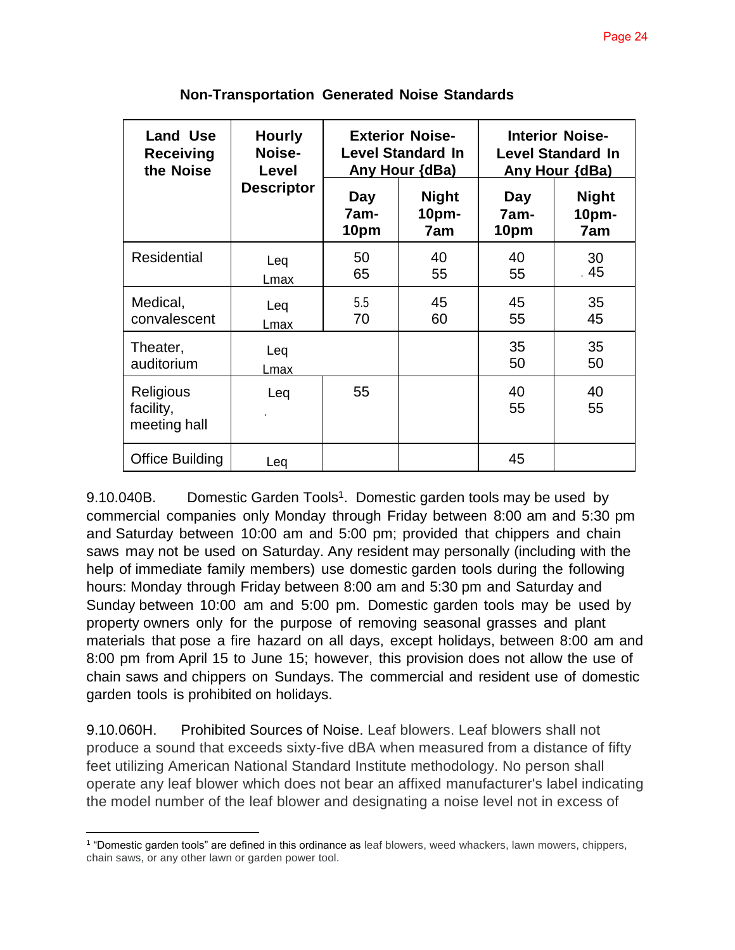| <b>Land Use</b><br><b>Receiving</b><br>the Noise | <b>Hourly</b><br>Noise-<br>Level<br><b>Descriptor</b> | <b>Exterior Noise-</b><br><b>Level Standard In</b><br>Any Hour (dBa) |                              | <b>Interior Noise-</b><br><b>Level Standard In</b><br>Any Hour {dBa) |                                         |
|--------------------------------------------------|-------------------------------------------------------|----------------------------------------------------------------------|------------------------------|----------------------------------------------------------------------|-----------------------------------------|
|                                                  |                                                       | Day<br>7am-<br>10pm                                                  | <b>Night</b><br>10pm-<br>7am | Day<br>7am-<br>10pm                                                  | <b>Night</b><br>10 <sub>pm</sub><br>7am |
| <b>Residential</b>                               | Leq<br>Lmax                                           | 50<br>65                                                             | 40<br>55                     | 40<br>55                                                             | 30<br>. 45                              |
| Medical,<br>convalescent                         | Leq<br>Lmax                                           | 5.5<br>70                                                            | 45<br>60                     | 45<br>55                                                             | 35<br>45                                |
| Theater,<br>auditorium                           | Leq<br>Lmax                                           |                                                                      |                              | 35<br>50                                                             | 35<br>50                                |
| Religious<br>facility,<br>meeting hall           | Leq                                                   | 55                                                                   |                              | 40<br>55                                                             | 40<br>55                                |
| Office Building                                  | Leg                                                   |                                                                      |                              | 45                                                                   |                                         |

**Non-Transportation Generated Noise Standards** 

9.10.040B. Domestic Garden Tools<sup>1</sup>. Domestic garden tools may be used by commercial companies only Monday through Friday between 8:00 am and 5:30 pm and Saturday between 10:00 am and 5:00 pm; provided that chippers and chain saws may not be used on Saturday. Any resident may personally (including with the help of immediate family members) use domestic garden tools during the following hours: Monday through Friday between 8:00 am and 5:30 pm and Saturday and Sunday between 10:00 am and 5:00 pm. Domestic garden tools may be used by property owners only for the purpose of removing seasonal grasses and plant materials that pose a fire hazard on all days, except holidays, between 8:00 am and 8:00 pm from April 15 to June 15; however, this provision does not allow the use of chain saws and chippers on Sundays. The commercial and resident use of domestic garden tools is prohibited on holidays.

9.10.060H. Prohibited Sources of Noise. Leaf blowers. Leaf blowers shall not produce a sound that exceeds sixty-five dBA when measured from a distance of fifty feet utilizing American National Standard Institute methodology. No person shall operate any leaf blower which does not bear an affixed manufacturer's label indicating the model number of the leaf blower and designating a noise level not in excess of

<sup>&</sup>lt;sup>1</sup> "Domestic garden tools" are defined in this ordinance as leaf blowers, weed whackers, lawn mowers, chippers, chain saws, or any other lawn or garden power tool.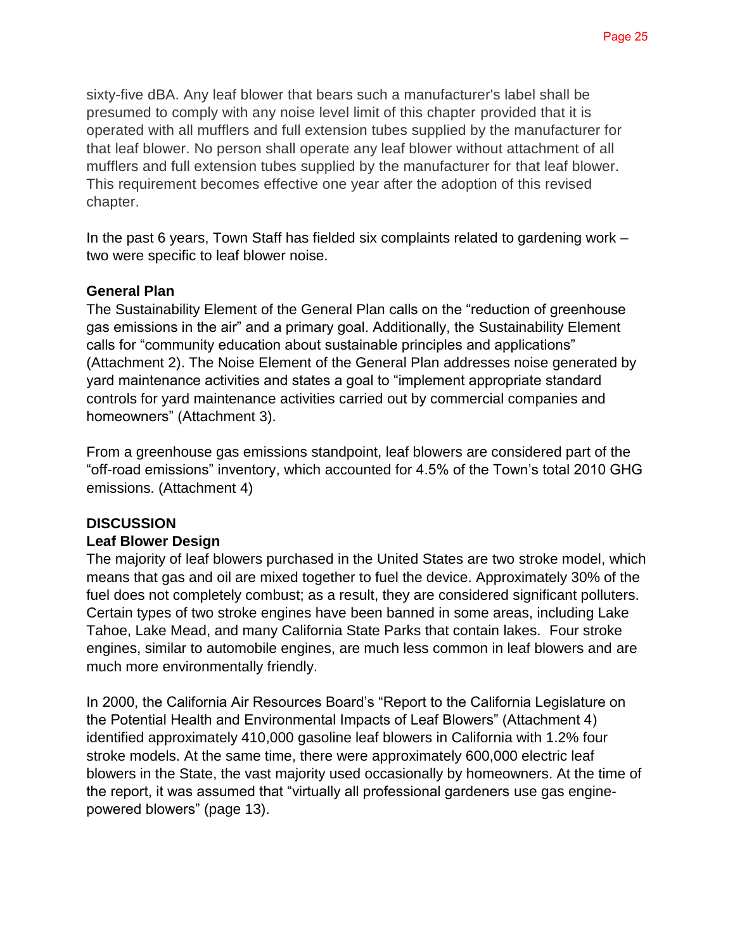sixty-five dBA. Any leaf blower that bears such a manufacturer's label shall be presumed to comply with any noise level limit of this chapter provided that it is operated with all mufflers and full extension tubes supplied by the manufacturer for that leaf blower. No person shall operate any leaf blower without attachment of all mufflers and full extension tubes supplied by the manufacturer for that leaf blower. This requirement becomes effective one year after the adoption of this revised chapter.

In the past 6 years, Town Staff has fielded six complaints related to gardening work – two were specific to leaf blower noise.

#### **General Plan**

The Sustainability Element of the General Plan calls on the "reduction of greenhouse gas emissions in the air" and a primary goal. Additionally, the Sustainability Element calls for "community education about sustainable principles and applications" (Attachment 2). The Noise Element of the General Plan addresses noise generated by yard maintenance activities and states a goal to "implement appropriate standard controls for yard maintenance activities carried out by commercial companies and homeowners" (Attachment 3).

From a greenhouse gas emissions standpoint, leaf blowers are considered part of the "off-road emissions" inventory, which accounted for 4.5% of the Town's total 2010 GHG emissions. (Attachment 4)

#### **DISCUSSION**

#### **Leaf Blower Design**

The majority of leaf blowers purchased in the United States are two stroke model, which means that gas and oil are mixed together to fuel the device. Approximately 30% of the fuel does not completely combust; as a result, they are considered significant polluters. Certain types of two stroke engines have been banned in some areas, including Lake Tahoe, Lake Mead, and many California State Parks that contain lakes. Four stroke engines, similar to automobile engines, are much less common in leaf blowers and are much more environmentally friendly.

In 2000, the California Air Resources Board's "Report to the California Legislature on the Potential Health and Environmental Impacts of Leaf Blowers" (Attachment 4) identified approximately 410,000 gasoline leaf blowers in California with 1.2% four stroke models. At the same time, there were approximately 600,000 electric leaf blowers in the State, the vast majority used occasionally by homeowners. At the time of the report, it was assumed that "virtually all professional gardeners use gas enginepowered blowers" (page 13).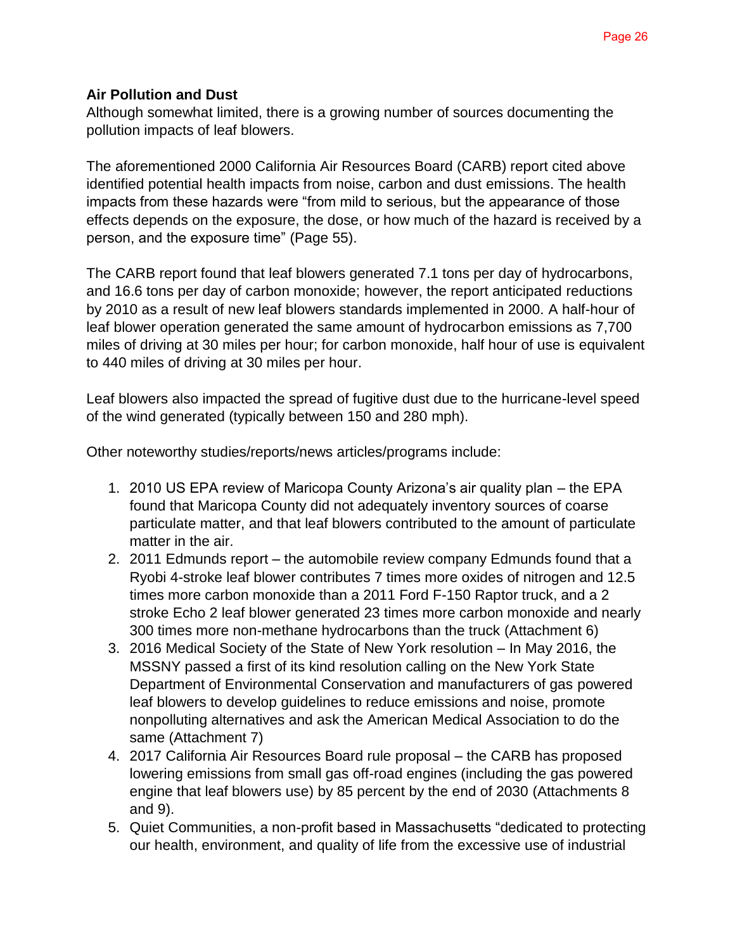#### **Air Pollution and Dust**

Although somewhat limited, there is a growing number of sources documenting the pollution impacts of leaf blowers.

The aforementioned 2000 California Air Resources Board (CARB) report cited above identified potential health impacts from noise, carbon and dust emissions. The health impacts from these hazards were "from mild to serious, but the appearance of those effects depends on the exposure, the dose, or how much of the hazard is received by a person, and the exposure time" (Page 55).

The CARB report found that leaf blowers generated 7.1 tons per day of hydrocarbons, and 16.6 tons per day of carbon monoxide; however, the report anticipated reductions by 2010 as a result of new leaf blowers standards implemented in 2000. A half-hour of leaf blower operation generated the same amount of hydrocarbon emissions as 7,700 miles of driving at 30 miles per hour; for carbon monoxide, half hour of use is equivalent to 440 miles of driving at 30 miles per hour.

Leaf blowers also impacted the spread of fugitive dust due to the hurricane-level speed of the wind generated (typically between 150 and 280 mph).

Other noteworthy studies/reports/news articles/programs include:

- 1. 2010 US EPA review of Maricopa County Arizona's air quality plan the EPA found that Maricopa County did not adequately inventory sources of coarse particulate matter, and that leaf blowers contributed to the amount of particulate matter in the air.
- 2. 2011 Edmunds report the automobile review company Edmunds found that a Ryobi 4-stroke leaf blower contributes 7 times more oxides of nitrogen and 12.5 times more carbon monoxide than a 2011 Ford F-150 Raptor truck, and a 2 stroke Echo 2 leaf blower generated 23 times more carbon monoxide and nearly 300 times more non-methane hydrocarbons than the truck (Attachment 6)
- 3. 2016 Medical Society of the State of New York resolution In May 2016, the MSSNY passed a first of its kind resolution calling on the New York State Department of Environmental Conservation and manufacturers of gas powered leaf blowers to develop guidelines to reduce emissions and noise, promote nonpolluting alternatives and ask the American Medical Association to do the same (Attachment 7)
- 4. 2017 California Air Resources Board rule proposal the CARB has proposed lowering emissions from small gas off-road engines (including the gas powered engine that leaf blowers use) by 85 percent by the end of 2030 (Attachments 8 and 9).
- 5. Quiet Communities, a non-profit based in Massachusetts "dedicated to protecting our health, environment, and quality of life from the excessive use of industrial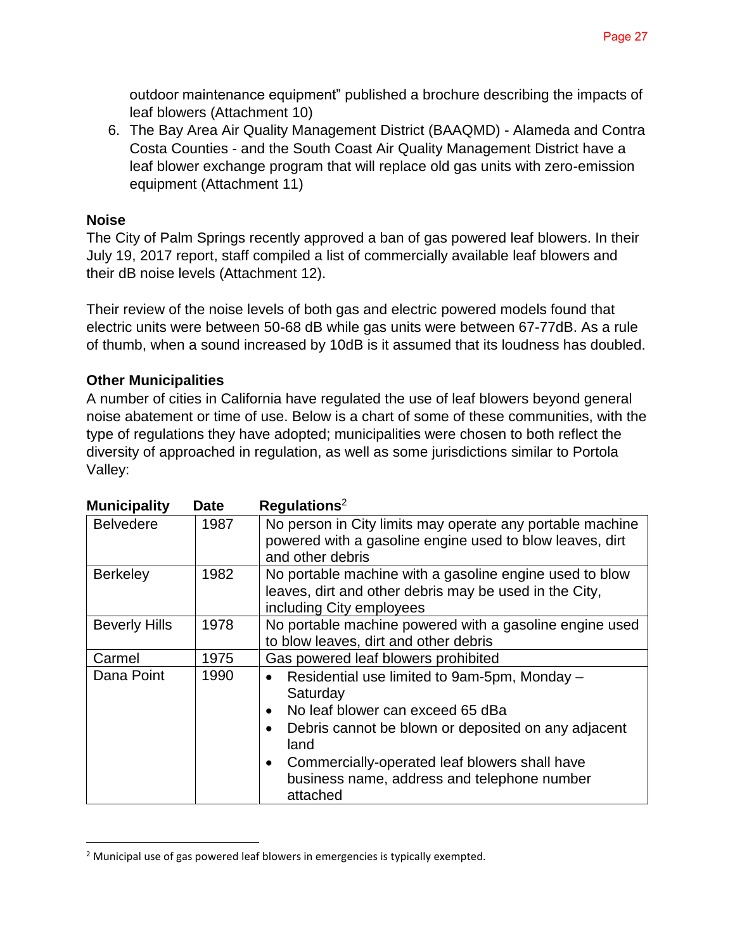outdoor maintenance equipment" published a brochure describing the impacts of leaf blowers (Attachment 10)

6. The Bay Area Air Quality Management District (BAAQMD) - Alameda and Contra Costa Counties - and the South Coast Air Quality Management District have a leaf blower exchange program that will replace old gas units with zero-emission equipment (Attachment 11)

#### **Noise**

The City of Palm Springs recently approved a ban of gas powered leaf blowers. In their July 19, 2017 report, staff compiled a list of commercially available leaf blowers and their dB noise levels (Attachment 12).

Their review of the noise levels of both gas and electric powered models found that electric units were between 50-68 dB while gas units were between 67-77dB. As a rule of thumb, when a sound increased by 10dB is it assumed that its loudness has doubled.

#### **Other Municipalities**

A number of cities in California have regulated the use of leaf blowers beyond general noise abatement or time of use. Below is a chart of some of these communities, with the type of regulations they have adopted; municipalities were chosen to both reflect the diversity of approached in regulation, as well as some jurisdictions similar to Portola Valley:

| <b>Municipality</b>  | <b>Date</b> | $\text{Requirements}^2$                                                                                                                                                                                                                                                                                                     |
|----------------------|-------------|-----------------------------------------------------------------------------------------------------------------------------------------------------------------------------------------------------------------------------------------------------------------------------------------------------------------------------|
| <b>Belvedere</b>     | 1987        | No person in City limits may operate any portable machine<br>powered with a gasoline engine used to blow leaves, dirt<br>and other debris                                                                                                                                                                                   |
| <b>Berkeley</b>      | 1982        | No portable machine with a gasoline engine used to blow<br>leaves, dirt and other debris may be used in the City,<br>including City employees                                                                                                                                                                               |
| <b>Beverly Hills</b> | 1978        | No portable machine powered with a gasoline engine used<br>to blow leaves, dirt and other debris                                                                                                                                                                                                                            |
| Carmel               | 1975        | Gas powered leaf blowers prohibited                                                                                                                                                                                                                                                                                         |
| Dana Point           | 1990        | Residential use limited to 9am-5pm, Monday -<br>$\bullet$<br>Saturday<br>No leaf blower can exceed 65 dBa<br>$\bullet$<br>Debris cannot be blown or deposited on any adjacent<br>$\bullet$<br>land<br>Commercially-operated leaf blowers shall have<br>$\bullet$<br>business name, address and telephone number<br>attached |

<sup>&</sup>lt;sup>2</sup> Municipal use of gas powered leaf blowers in emergencies is typically exempted.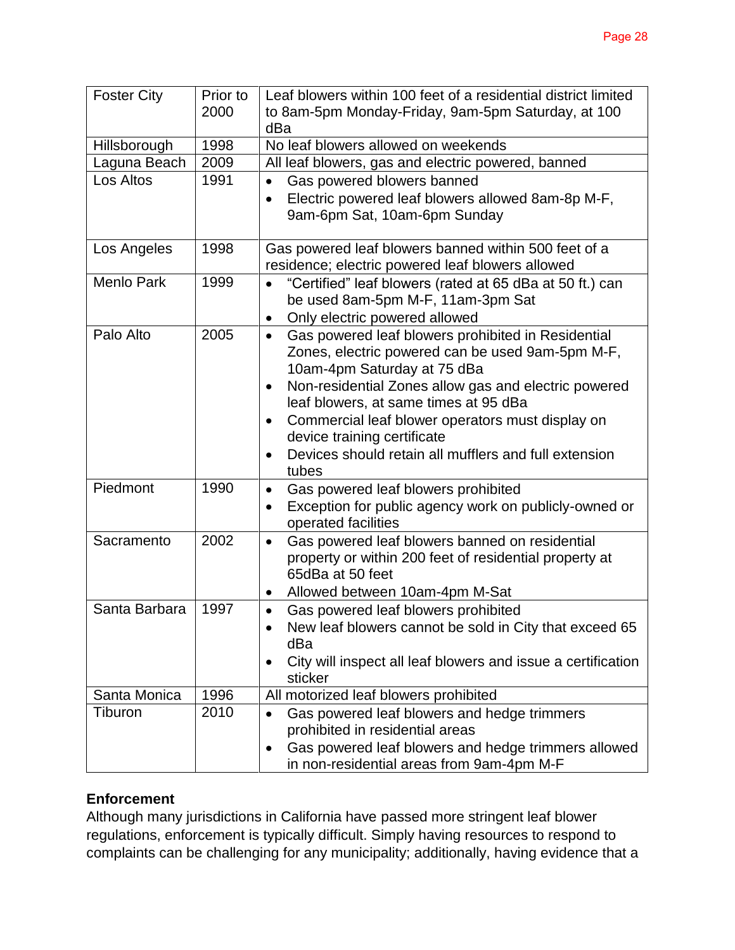| <b>Foster City</b> | Prior to | Leaf blowers within 100 feet of a residential district limited            |  |  |  |
|--------------------|----------|---------------------------------------------------------------------------|--|--|--|
|                    | 2000     | to 8am-5pm Monday-Friday, 9am-5pm Saturday, at 100                        |  |  |  |
|                    |          | dBa                                                                       |  |  |  |
| Hillsborough       | 1998     | No leaf blowers allowed on weekends                                       |  |  |  |
| Laguna Beach       | 2009     | All leaf blowers, gas and electric powered, banned                        |  |  |  |
| Los Altos          | 1991     | Gas powered blowers banned<br>$\bullet$                                   |  |  |  |
|                    |          | Electric powered leaf blowers allowed 8am-8p M-F,<br>$\bullet$            |  |  |  |
|                    |          | 9am-6pm Sat, 10am-6pm Sunday                                              |  |  |  |
|                    |          |                                                                           |  |  |  |
| Los Angeles        | 1998     | Gas powered leaf blowers banned within 500 feet of a                      |  |  |  |
|                    |          | residence; electric powered leaf blowers allowed                          |  |  |  |
| <b>Menlo Park</b>  | 1999     | "Certified" leaf blowers (rated at 65 dBa at 50 ft.) can<br>$\bullet$     |  |  |  |
|                    |          | be used 8am-5pm M-F, 11am-3pm Sat                                         |  |  |  |
|                    |          | Only electric powered allowed<br>$\bullet$                                |  |  |  |
| Palo Alto          | 2005     | Gas powered leaf blowers prohibited in Residential<br>$\bullet$           |  |  |  |
|                    |          | Zones, electric powered can be used 9am-5pm M-F,                          |  |  |  |
|                    |          | 10am-4pm Saturday at 75 dBa                                               |  |  |  |
|                    |          | Non-residential Zones allow gas and electric powered<br>$\bullet$         |  |  |  |
|                    |          | leaf blowers, at same times at 95 dBa                                     |  |  |  |
|                    |          | Commercial leaf blower operators must display on<br>$\bullet$             |  |  |  |
|                    |          | device training certificate                                               |  |  |  |
|                    |          | Devices should retain all mufflers and full extension<br>$\bullet$        |  |  |  |
|                    |          | tubes                                                                     |  |  |  |
| Piedmont           | 1990     | Gas powered leaf blowers prohibited<br>$\bullet$                          |  |  |  |
|                    |          | Exception for public agency work on publicly-owned or<br>$\bullet$        |  |  |  |
|                    |          | operated facilities                                                       |  |  |  |
| Sacramento         | 2002     | Gas powered leaf blowers banned on residential<br>$\bullet$               |  |  |  |
|                    |          | property or within 200 feet of residential property at                    |  |  |  |
|                    |          | 65dBa at 50 feet                                                          |  |  |  |
|                    |          | Allowed between 10am-4pm M-Sat<br>$\bullet$                               |  |  |  |
| Santa Barbara      | 1997     | Gas powered leaf blowers prohibited<br>$\bullet$                          |  |  |  |
|                    |          | New leaf blowers cannot be sold in City that exceed 65                    |  |  |  |
|                    |          | dBa                                                                       |  |  |  |
|                    |          | City will inspect all leaf blowers and issue a certification<br>$\bullet$ |  |  |  |
|                    |          | sticker                                                                   |  |  |  |
| Santa Monica       | 1996     | All motorized leaf blowers prohibited                                     |  |  |  |
| Tiburon            | 2010     | Gas powered leaf blowers and hedge trimmers<br>$\bullet$                  |  |  |  |
|                    |          | prohibited in residential areas                                           |  |  |  |
|                    |          | Gas powered leaf blowers and hedge trimmers allowed<br>$\bullet$          |  |  |  |
|                    |          | in non-residential areas from 9am-4pm M-F                                 |  |  |  |

#### **Enforcement**

Although many jurisdictions in California have passed more stringent leaf blower regulations, enforcement is typically difficult. Simply having resources to respond to complaints can be challenging for any municipality; additionally, having evidence that a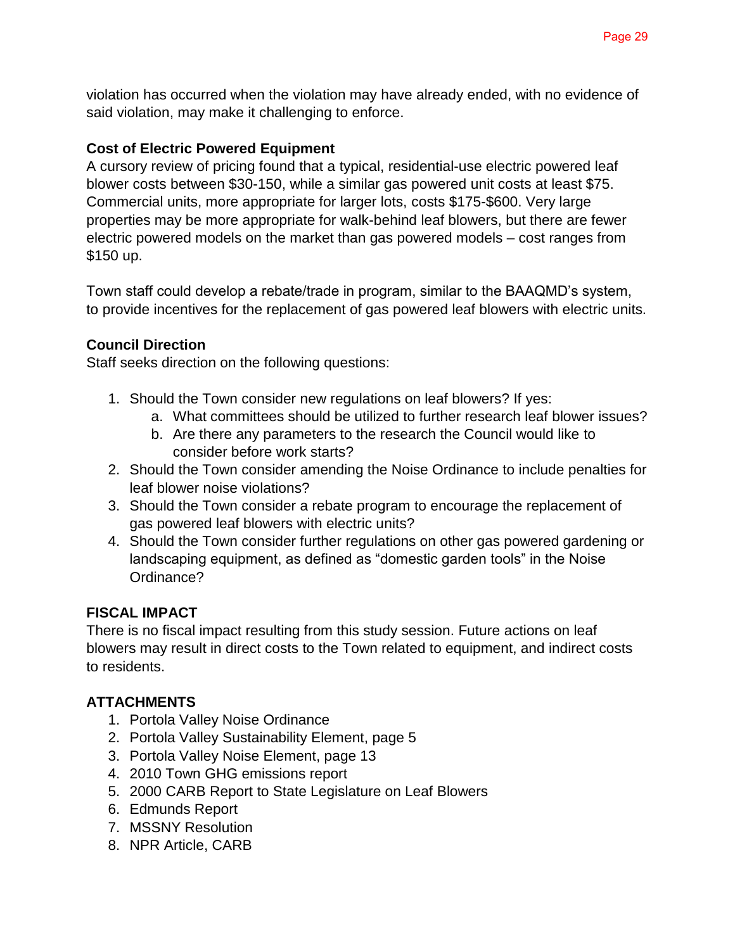violation has occurred when the violation may have already ended, with no evidence of said violation, may make it challenging to enforce.

#### **Cost of Electric Powered Equipment**

A cursory review of pricing found that a typical, residential-use electric powered leaf blower costs between \$30-150, while a similar gas powered unit costs at least \$75. Commercial units, more appropriate for larger lots, costs \$175-\$600. Very large properties may be more appropriate for walk-behind leaf blowers, but there are fewer electric powered models on the market than gas powered models – cost ranges from \$150 up.

Town staff could develop a rebate/trade in program, similar to the BAAQMD's system, to provide incentives for the replacement of gas powered leaf blowers with electric units.

#### **Council Direction**

Staff seeks direction on the following questions:

- 1. Should the Town consider new regulations on leaf blowers? If yes:
	- a. What committees should be utilized to further research leaf blower issues?
	- b. Are there any parameters to the research the Council would like to consider before work starts?
- 2. Should the Town consider amending the Noise Ordinance to include penalties for leaf blower noise violations?
- 3. Should the Town consider a rebate program to encourage the replacement of gas powered leaf blowers with electric units?
- 4. Should the Town consider further regulations on other gas powered gardening or landscaping equipment, as defined as "domestic garden tools" in the Noise Ordinance?

#### **FISCAL IMPACT**

There is no fiscal impact resulting from this study session. Future actions on leaf blowers may result in direct costs to the Town related to equipment, and indirect costs to residents.

#### **ATTACHMENTS**

- 1. Portola Valley Noise Ordinance
- 2. Portola Valley Sustainability Element, page 5
- 3. Portola Valley Noise Element, page 13
- 4. 2010 Town GHG emissions report
- 5. 2000 CARB Report to State Legislature on Leaf Blowers
- 6. Edmunds Report
- 7. MSSNY Resolution
- 8. NPR Article, CARB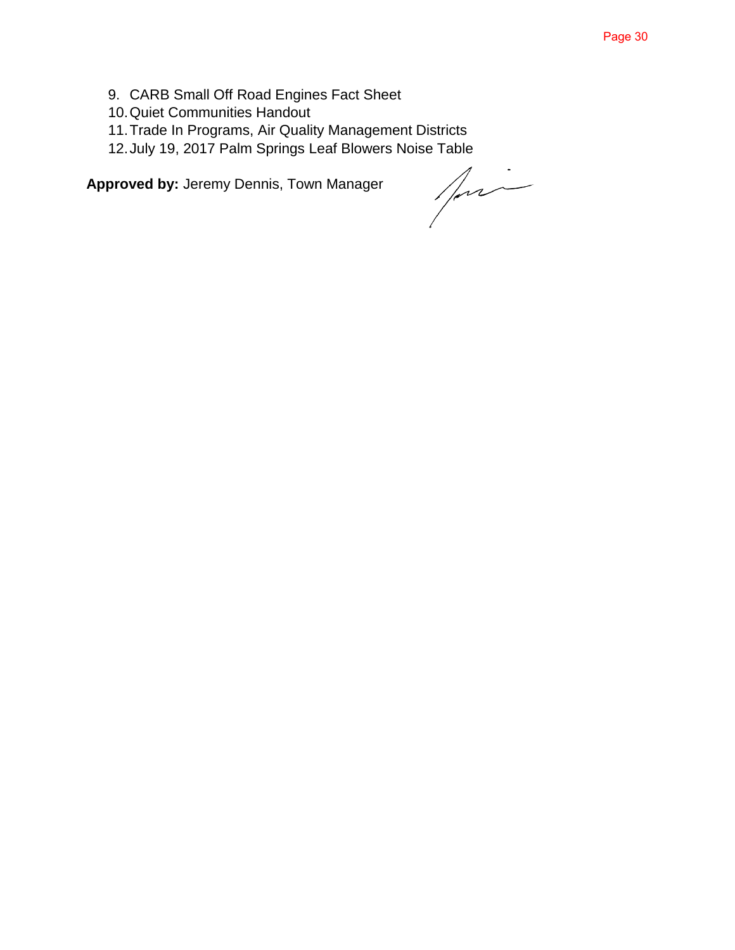- 9. CARB Small Off Road Engines Fact Sheet
- 10.Quiet Communities Handout
- 11.Trade In Programs, Air Quality Management Districts
- 12.July 19, 2017 Palm Springs Leaf Blowers Noise Table

**Approved by:** Jeremy Dennis, Town Manager

pri